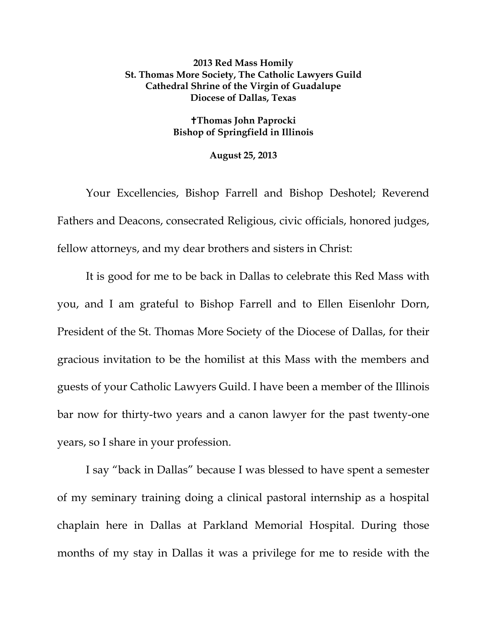## **2013 Red Mass Homily St. Thomas More Society, The Catholic Lawyers Guild Cathedral Shrine of the Virgin of Guadalupe Diocese of Dallas, Texas**

## **Thomas John Paprocki Bishop of Springfield in Illinois**

## **August 25, 2013**

Your Excellencies, Bishop Farrell and Bishop Deshotel; Reverend Fathers and Deacons, consecrated Religious, civic officials, honored judges, fellow attorneys, and my dear brothers and sisters in Christ:

It is good for me to be back in Dallas to celebrate this Red Mass with you, and I am grateful to Bishop Farrell and to Ellen Eisenlohr Dorn, President of the St. Thomas More Society of the Diocese of Dallas, for their gracious invitation to be the homilist at this Mass with the members and guests of your Catholic Lawyers Guild. I have been a member of the Illinois bar now for thirty-two years and a canon lawyer for the past twenty-one years, so I share in your profession.

I say "back in Dallas" because I was blessed to have spent a semester of my seminary training doing a clinical pastoral internship as a hospital chaplain here in Dallas at Parkland Memorial Hospital. During those months of my stay in Dallas it was a privilege for me to reside with the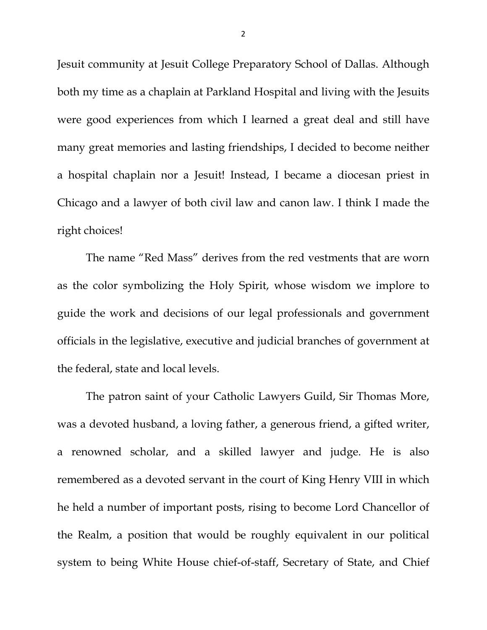Jesuit community at Jesuit College Preparatory School of Dallas. Although both my time as a chaplain at Parkland Hospital and living with the Jesuits were good experiences from which I learned a great deal and still have many great memories and lasting friendships, I decided to become neither a hospital chaplain nor a Jesuit! Instead, I became a diocesan priest in Chicago and a lawyer of both civil law and canon law. I think I made the right choices!

The name "Red Mass" derives from the red vestments that are worn as the color symbolizing the Holy Spirit, whose wisdom we implore to guide the work and decisions of our legal professionals and government officials in the legislative, executive and judicial branches of government at the federal, state and local levels.

The patron saint of your Catholic Lawyers Guild, Sir Thomas More, was a devoted husband, a loving father, a generous friend, a gifted writer, a renowned scholar, and a skilled lawyer and judge. He is also remembered as a devoted servant in the court of King Henry VIII in which he held a number of important posts, rising to become Lord Chancellor of the Realm, a position that would be roughly equivalent in our political system to being White House chief-of-staff, Secretary of State, and Chief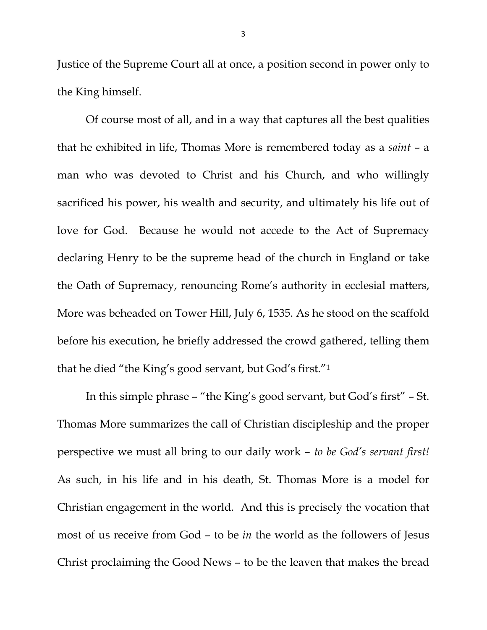Justice of the Supreme Court all at once, a position second in power only to the King himself.

Of course most of all, and in a way that captures all the best qualities that he exhibited in life, Thomas More is remembered today as a *saint* – a man who was devoted to Christ and his Church, and who willingly sacrificed his power, his wealth and security, and ultimately his life out of love for God. Because he would not accede to the Act of Supremacy declaring Henry to be the supreme head of the church in England or take the Oath of Supremacy, renouncing Rome's authority in ecclesial matters, More was beheaded on Tower Hill, July 6, 1535. As he stood on the scaffold before his execution, he briefly addressed the crowd gathered, telling them that he died "the King's good servant, but God's first."1

In this simple phrase – "the King's good servant, but God's first" – St. Thomas More summarizes the call of Christian discipleship and the proper perspective we must all bring to our daily work – *to be God's servant first!* As such, in his life and in his death, St. Thomas More is a model for Christian engagement in the world. And this is precisely the vocation that most of us receive from God – to be *in* the world as the followers of Jesus Christ proclaiming the Good News – to be the leaven that makes the bread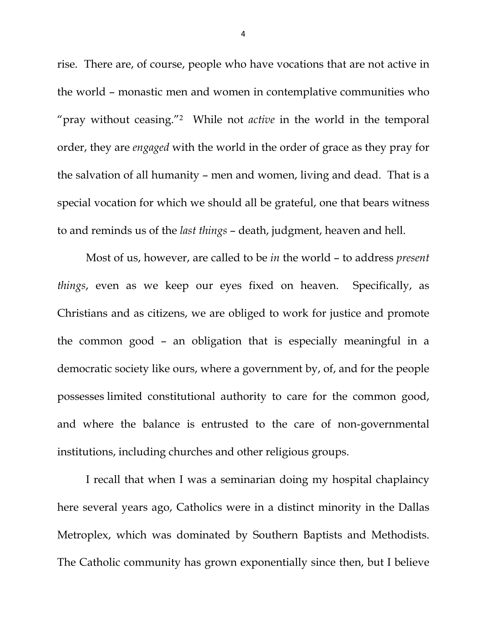rise. There are, of course, people who have vocations that are not active in the world – monastic men and women in contemplative communities who "pray without ceasing."2 While not *active* in the world in the temporal order, they are *engaged* with the world in the order of grace as they pray for the salvation of all humanity – men and women, living and dead. That is a special vocation for which we should all be grateful, one that bears witness to and reminds us of the *last things* – death, judgment, heaven and hell.

Most of us, however, are called to be *in* the world – to address *present things*, even as we keep our eyes fixed on heaven. Specifically, as Christians and as citizens, we are obliged to work for justice and promote the common good – an obligation that is especially meaningful in a democratic society like ours, where a government by, of, and for the people possesses limited constitutional authority to care for the common good, and where the balance is entrusted to the care of non-governmental institutions, including churches and other religious groups.

I recall that when I was a seminarian doing my hospital chaplaincy here several years ago, Catholics were in a distinct minority in the Dallas Metroplex, which was dominated by Southern Baptists and Methodists. The Catholic community has grown exponentially since then, but I believe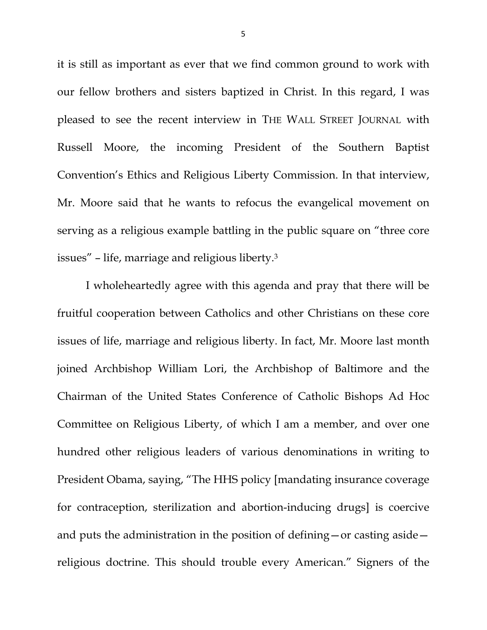it is still as important as ever that we find common ground to work with our fellow brothers and sisters baptized in Christ. In this regard, I was pleased to see the recent interview in THE WALL STREET JOURNAL with Russell Moore, the incoming President of the Southern Baptist Convention's Ethics and Religious Liberty Commission. In that interview, Mr. Moore said that he wants to refocus the evangelical movement on serving as a religious example battling in the public square on "three core issues" – life, marriage and religious liberty.3

I wholeheartedly agree with this agenda and pray that there will be fruitful cooperation between Catholics and other Christians on these core issues of life, marriage and religious liberty. In fact, Mr. Moore last month joined Archbishop William Lori, the Archbishop of Baltimore and the Chairman of the United States Conference of Catholic Bishops Ad Hoc Committee on Religious Liberty, of which I am a member, and over one hundred other religious leaders of various denominations in writing to President Obama, saying, "The HHS policy [mandating insurance coverage for contraception, sterilization and abortion-inducing drugs] is coercive and puts the administration in the position of defining—or casting aside religious doctrine. This should trouble every American." Signers of the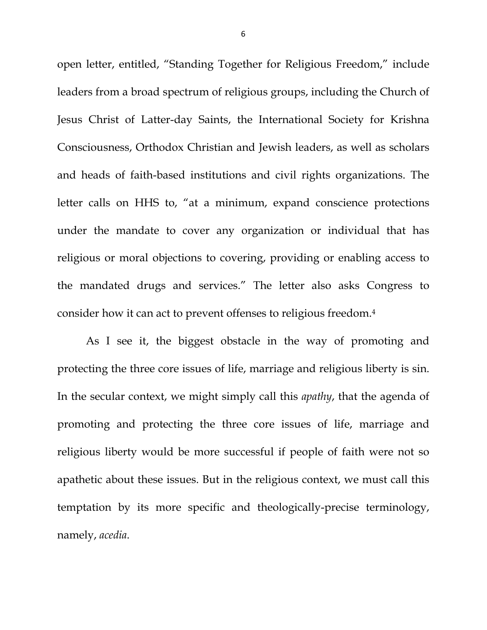open letter, entitled, "Standing Together for Religious Freedom," include leaders from a broad spectrum of religious groups, including the Church of Jesus Christ of Latter-day Saints, the International Society for Krishna Consciousness, Orthodox Christian and Jewish leaders, as well as scholars and heads of faith-based institutions and civil rights organizations. The letter calls on HHS to, "at a minimum, expand conscience protections under the mandate to cover any organization or individual that has religious or moral objections to covering, providing or enabling access to the mandated drugs and services." The letter also asks Congress to consider how it can act to prevent offenses to religious freedom.4

As I see it, the biggest obstacle in the way of promoting and protecting the three core issues of life, marriage and religious liberty is sin. In the secular context, we might simply call this *apathy*, that the agenda of promoting and protecting the three core issues of life, marriage and religious liberty would be more successful if people of faith were not so apathetic about these issues. But in the religious context, we must call this temptation by its more specific and theologically-precise terminology, namely, *acedia*.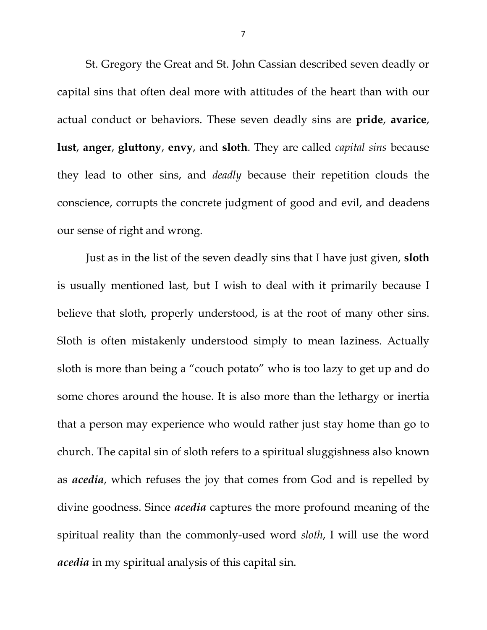St. Gregory the Great and St. John Cassian described seven deadly or capital sins that often deal more with attitudes of the heart than with our actual conduct or behaviors. These seven deadly sins are **pride**, **avarice**, **lust**, **anger**, **gluttony**, **envy**, and **sloth**. They are called *capital sins* because they lead to other sins, and *deadly* because their repetition clouds the conscience, corrupts the concrete judgment of good and evil, and deadens our sense of right and wrong.

Just as in the list of the seven deadly sins that I have just given, **sloth** is usually mentioned last, but I wish to deal with it primarily because I believe that sloth, properly understood, is at the root of many other sins. Sloth is often mistakenly understood simply to mean laziness. Actually sloth is more than being a "couch potato" who is too lazy to get up and do some chores around the house. It is also more than the lethargy or inertia that a person may experience who would rather just stay home than go to church. The capital sin of sloth refers to a spiritual sluggishness also known as *acedia*, which refuses the joy that comes from God and is repelled by divine goodness. Since *acedia* captures the more profound meaning of the spiritual reality than the commonly-used word *sloth*, I will use the word *acedia* in my spiritual analysis of this capital sin.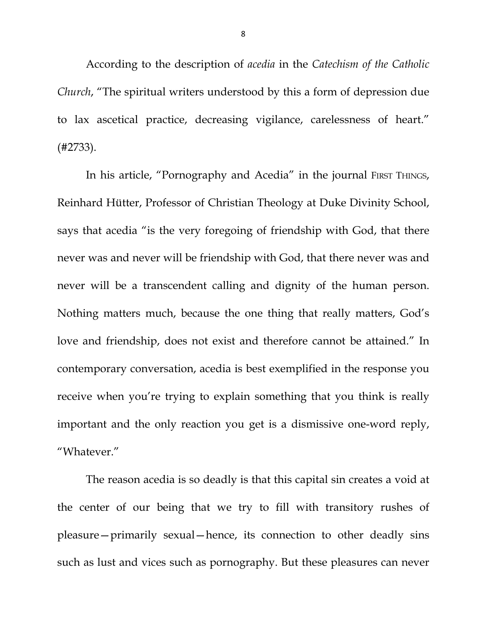According to the description of *acedia* in the *Catechism of the Catholic Church*, "The spiritual writers understood by this a form of depression due to lax ascetical practice, decreasing vigilance, carelessness of heart." (#2733).

In his article, "Pornography and Acedia" in the journal FIRST THINGS, Reinhard Hütter, Professor of Christian Theology at Duke Divinity School, says that acedia "is the very foregoing of friendship with God, that there never was and never will be friendship with God, that there never was and never will be a transcendent calling and dignity of the human person. Nothing matters much, because the one thing that really matters, God's love and friendship, does not exist and therefore cannot be attained." In contemporary conversation, acedia is best exemplified in the response you receive when you're trying to explain something that you think is really important and the only reaction you get is a dismissive one-word reply, "Whatever."

The reason acedia is so deadly is that this capital sin creates a void at the center of our being that we try to fill with transitory rushes of pleasure—primarily sexual—hence, its connection to other deadly sins such as lust and vices such as pornography. But these pleasures can never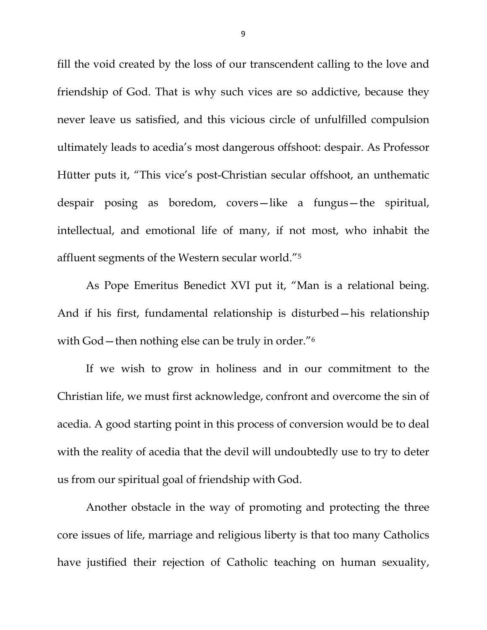fill the void created by the loss of our transcendent calling to the love and friendship of God. That is why such vices are so addictive, because they never leave us satisfied, and this vicious circle of unfulfilled compulsion ultimately leads to acedia's most dangerous offshoot: despair. As Professor Hütter puts it, "This vice's post-Christian secular offshoot, an unthematic despair posing as boredom, covers—like a fungus—the spiritual, intellectual, and emotional life of many, if not most, who inhabit the affluent segments of the Western secular world."5

As Pope Emeritus Benedict XVI put it, "Man is a relational being. And if his first, fundamental relationship is disturbed—his relationship with God – then nothing else can be truly in order.<sup>"6</sup>

If we wish to grow in holiness and in our commitment to the Christian life, we must first acknowledge, confront and overcome the sin of acedia. A good starting point in this process of conversion would be to deal with the reality of acedia that the devil will undoubtedly use to try to deter us from our spiritual goal of friendship with God.

Another obstacle in the way of promoting and protecting the three core issues of life, marriage and religious liberty is that too many Catholics have justified their rejection of Catholic teaching on human sexuality,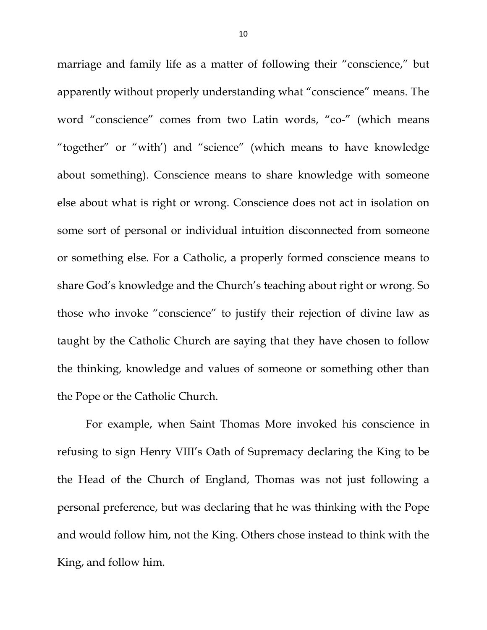marriage and family life as a matter of following their "conscience," but apparently without properly understanding what "conscience" means. The word "conscience" comes from two Latin words, "co-" (which means "together" or "with') and "science" (which means to have knowledge about something). Conscience means to share knowledge with someone else about what is right or wrong. Conscience does not act in isolation on some sort of personal or individual intuition disconnected from someone or something else. For a Catholic, a properly formed conscience means to share God's knowledge and the Church's teaching about right or wrong. So those who invoke "conscience" to justify their rejection of divine law as taught by the Catholic Church are saying that they have chosen to follow the thinking, knowledge and values of someone or something other than the Pope or the Catholic Church.

For example, when Saint Thomas More invoked his conscience in refusing to sign Henry VIII's Oath of Supremacy declaring the King to be the Head of the Church of England, Thomas was not just following a personal preference, but was declaring that he was thinking with the Pope and would follow him, not the King. Others chose instead to think with the King, and follow him.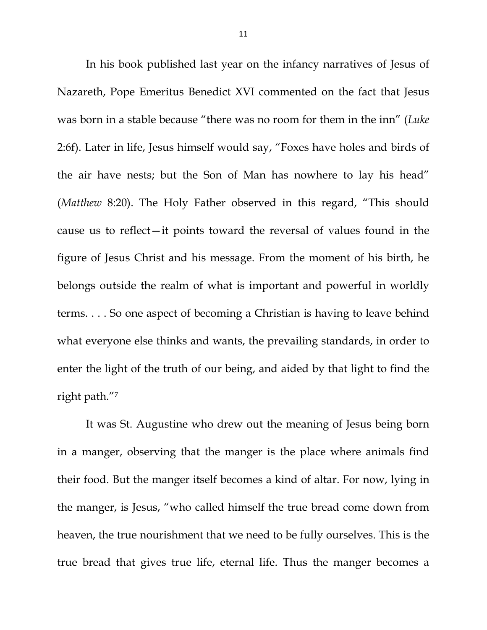In his book published last year on the infancy narratives of Jesus of Nazareth, Pope Emeritus Benedict XVI commented on the fact that Jesus was born in a stable because "there was no room for them in the inn" (*Luke* 2:6f). Later in life, Jesus himself would say, "Foxes have holes and birds of the air have nests; but the Son of Man has nowhere to lay his head" (*Matthew* 8:20). The Holy Father observed in this regard, "This should cause us to reflect—it points toward the reversal of values found in the figure of Jesus Christ and his message. From the moment of his birth, he belongs outside the realm of what is important and powerful in worldly terms. . . . So one aspect of becoming a Christian is having to leave behind what everyone else thinks and wants, the prevailing standards, in order to enter the light of the truth of our being, and aided by that light to find the right path."7

It was St. Augustine who drew out the meaning of Jesus being born in a manger, observing that the manger is the place where animals find their food. But the manger itself becomes a kind of altar. For now, lying in the manger, is Jesus, "who called himself the true bread come down from heaven, the true nourishment that we need to be fully ourselves. This is the true bread that gives true life, eternal life. Thus the manger becomes a